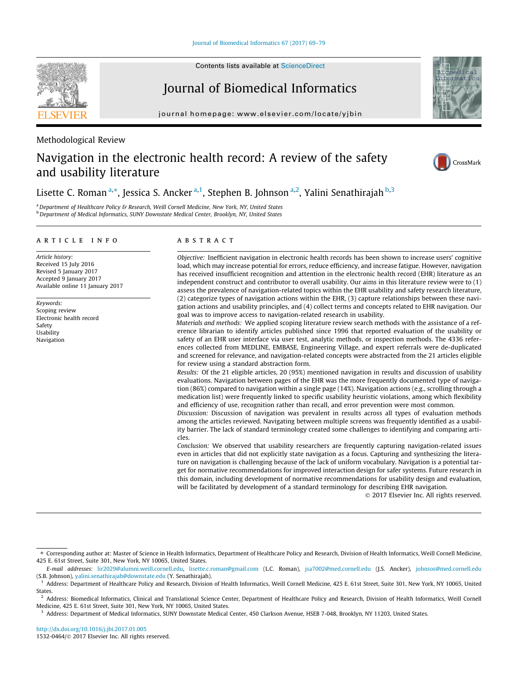# Journal of Biomedical Informatics

journal homepage: [www.elsevier.com/locate/yjbin](http://www.elsevier.com/locate/yjbin)

Methodological Review

# Navigation in the electronic health record: A review of the safety and usability literature





Lisette C. Roman<sup>a,\*</sup>, Jessica S. Ancker<sup>a,1</sup>, Stephen B. Johnson<sup>a,2</sup>, Yalini Senathirajah <sup>b,3</sup>

a Department of Healthcare Policy & Research, Weill Cornell Medicine, New York, NY, United States <sup>b</sup> Department of Medical Informatics, SUNY Downstate Medical Center, Brooklyn, NY, United States

### article info

Article history: Received 15 July 2016 Revised 5 January 2017 Accepted 9 January 2017 Available online 11 January 2017

Keywords: Scoping review Electronic health record Safety Usability Navigation

# **ABSTRACT**

Objective: Inefficient navigation in electronic health records has been shown to increase users' cognitive load, which may increase potential for errors, reduce efficiency, and increase fatigue. However, navigation has received insufficient recognition and attention in the electronic health record (EHR) literature as an independent construct and contributor to overall usability. Our aims in this literature review were to (1) assess the prevalence of navigation-related topics within the EHR usability and safety research literature, (2) categorize types of navigation actions within the EHR, (3) capture relationships between these navigation actions and usability principles, and (4) collect terms and concepts related to EHR navigation. Our goal was to improve access to navigation-related research in usability.

Materials and methods: We applied scoping literature review search methods with the assistance of a reference librarian to identify articles published since 1996 that reported evaluation of the usability or safety of an EHR user interface via user test, analytic methods, or inspection methods. The 4336 references collected from MEDLINE, EMBASE, Engineering Village, and expert referrals were de-duplicated and screened for relevance, and navigation-related concepts were abstracted from the 21 articles eligible for review using a standard abstraction form.

Results: Of the 21 eligible articles, 20 (95%) mentioned navigation in results and discussion of usability evaluations. Navigation between pages of the EHR was the more frequently documented type of navigation (86%) compared to navigation within a single page (14%). Navigation actions (e.g., scrolling through a medication list) were frequently linked to specific usability heuristic violations, among which flexibility and efficiency of use, recognition rather than recall, and error prevention were most common.

Discussion: Discussion of navigation was prevalent in results across all types of evaluation methods among the articles reviewed. Navigating between multiple screens was frequently identified as a usability barrier. The lack of standard terminology created some challenges to identifying and comparing articles.

Conclusion: We observed that usability researchers are frequently capturing navigation-related issues even in articles that did not explicitly state navigation as a focus. Capturing and synthesizing the literature on navigation is challenging because of the lack of uniform vocabulary. Navigation is a potential target for normative recommendations for improved interaction design for safer systems. Future research in this domain, including development of normative recommendations for usability design and evaluation, will be facilitated by development of a standard terminology for describing EHR navigation.

2017 Elsevier Inc. All rights reserved.



<sup>⇑</sup> Corresponding author at: Master of Science in Health Informatics, Department of Healthcare Policy and Research, Division of Health Informatics, Weill Cornell Medicine, 425 E. 61st Street, Suite 301, New York, NY 10065, United States.

E-mail addresses: [lir2029@alumni.weill.cornell.edu,](mailto:lir2029@alumni.weill.cornell.edu) [lisette.c.roman@gmail.com](mailto:lisette.c.roman@gmail.com) (L.C. Roman), [jsa7002@med.cornell.edu](mailto:jsa7002@med.cornell.edu) (J.S. Ancker), [johnsos@med.cornell.edu](mailto:johnsos@med.cornell.edu) (S.B. Johnson), [yalini.senathirajah@downstate.edu](mailto:yalini.senathirajah@downstate.edu) (Y. Senathirajah).

<sup>&</sup>lt;sup>1</sup> Address: Department of Healthcare Policy and Research, Division of Health Informatics, Weill Cornell Medicine, 425 E. 61st Street, Suite 301, New York, NY 10065, United States.

<sup>2</sup> Address: Biomedical Informatics, Clinical and Translational Science Center, Department of Healthcare Policy and Research, Division of Health Informatics, Weill Cornell Medicine, 425 E. 61st Street, Suite 301, New York, NY 10065, United States.

<sup>&</sup>lt;sup>3</sup> Address: Department of Medical Informatics, SUNY Downstate Medical Center, 450 Clarkson Avenue, HSEB 7-048, Brooklyn, NY 11203, United States.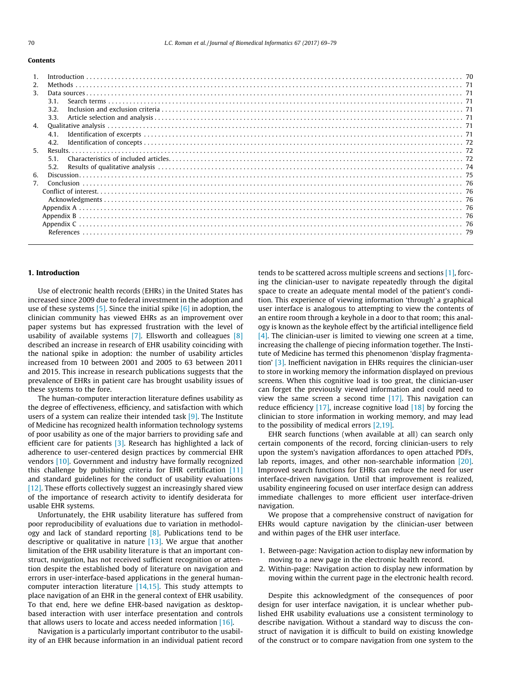#### Contents

| 2.               |      |  |
|------------------|------|--|
| 3.               |      |  |
|                  | 3.1. |  |
|                  | 3.2  |  |
|                  | 3.3. |  |
| $\overline{4}$ . |      |  |
|                  | 4.1  |  |
|                  | 4.2. |  |
| 5 <sub>1</sub>   |      |  |
|                  | 5.1  |  |
|                  | 5.2. |  |
| 6.               |      |  |
| 7.               |      |  |
|                  |      |  |
|                  |      |  |
|                  |      |  |
|                  |      |  |
|                  |      |  |
|                  |      |  |
|                  |      |  |
|                  |      |  |

#### 1. Introduction

Use of electronic health records (EHRs) in the United States has increased since 2009 due to federal investment in the adoption and use of these systems  $[5]$ . Since the initial spike  $[6]$  in adoption, the clinician community has viewed EHRs as an improvement over paper systems but has expressed frustration with the level of usability of available systems  $[7]$ . Ellsworth and colleagues  $[8]$ described an increase in research of EHR usability coinciding with the national spike in adoption: the number of usability articles increased from 10 between 2001 and 2005 to 63 between 2011 and 2015. This increase in research publications suggests that the prevalence of EHRs in patient care has brought usability issues of these systems to the fore.

The human-computer interaction literature defines usability as the degree of effectiveness, efficiency, and satisfaction with which users of a system can realize their intended task [\[9\].](#page-10-0) The Institute of Medicine has recognized health information technology systems of poor usability as one of the major barriers to providing safe and efficient care for patients [\[3\].](#page-10-0) Research has highlighted a lack of adherence to user-centered design practices by commercial EHR vendors [\[10\].](#page-10-0) Government and industry have formally recognized this challenge by publishing criteria for EHR certification [\[11\]](#page-10-0) and standard guidelines for the conduct of usability evaluations [\[12\]](#page-10-0). These efforts collectively suggest an increasingly shared view of the importance of research activity to identify desiderata for usable EHR systems.

Unfortunately, the EHR usability literature has suffered from poor reproducibility of evaluations due to variation in methodology and lack of standard reporting  $[8]$ . Publications tend to be descriptive or qualitative in nature  $[13]$ . We argue that another limitation of the EHR usability literature is that an important construct, navigation, has not received sufficient recognition or attention despite the established body of literature on navigation and errors in user-interface-based applications in the general humancomputer interaction literature [\[14,15\]](#page-10-0). This study attempts to place navigation of an EHR in the general context of EHR usability. To that end, here we define EHR-based navigation as desktopbased interaction with user interface presentation and controls that allows users to locate and access needed information [\[16\].](#page-10-0)

Navigation is a particularly important contributor to the usability of an EHR because information in an individual patient record tends to be scattered across multiple screens and sections [\[1\],](#page-10-0) forcing the clinician-user to navigate repeatedly through the digital space to create an adequate mental model of the patient's condition. This experience of viewing information 'through' a graphical user interface is analogous to attempting to view the contents of an entire room through a keyhole in a door to that room; this analogy is known as the keyhole effect by the artificial intelligence field [\[4\]](#page-10-0). The clinician-user is limited to viewing one screen at a time, increasing the challenge of piecing information together. The Institute of Medicine has termed this phenomenon 'display fragmentation' [\[3\]](#page-10-0). Inefficient navigation in EHRs requires the clinician-user to store in working memory the information displayed on previous screens. When this cognitive load is too great, the clinician-user can forget the previously viewed information and could need to view the same screen a second time [\[17\]](#page-10-0). This navigation can reduce efficiency [\[17\],](#page-10-0) increase cognitive load [\[18\]](#page-10-0) by forcing the clinician to store information in working memory, and may lead to the possibility of medical errors [\[2,19\]](#page-10-0).

EHR search functions (when available at all) can search only certain components of the record, forcing clinician-users to rely upon the system's navigation affordances to open attached PDFs, lab reports, images, and other non-searchable information [\[20\].](#page-10-0) Improved search functions for EHRs can reduce the need for user interface-driven navigation. Until that improvement is realized, usability engineering focused on user interface design can address immediate challenges to more efficient user interface-driven navigation.

We propose that a comprehensive construct of navigation for EHRs would capture navigation by the clinician-user between and within pages of the EHR user interface.

- 1. Between-page: Navigation action to display new information by moving to a new page in the electronic health record.
- 2. Within-page: Navigation action to display new information by moving within the current page in the electronic health record.

Despite this acknowledgment of the consequences of poor design for user interface navigation, it is unclear whether published EHR usability evaluations use a consistent terminology to describe navigation. Without a standard way to discuss the construct of navigation it is difficult to build on existing knowledge of the construct or to compare navigation from one system to the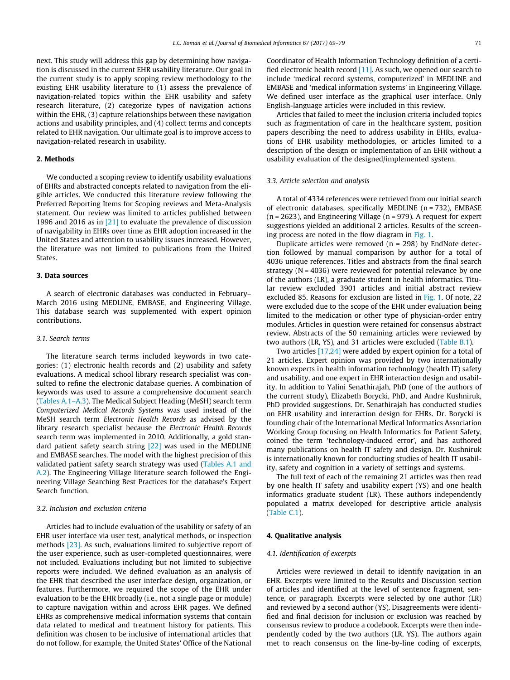next. This study will address this gap by determining how navigation is discussed in the current EHR usability literature. Our goal in the current study is to apply scoping review methodology to the existing EHR usability literature to (1) assess the prevalence of navigation-related topics within the EHR usability and safety research literature, (2) categorize types of navigation actions within the EHR, (3) capture relationships between these navigation actions and usability principles, and (4) collect terms and concepts related to EHR navigation. Our ultimate goal is to improve access to navigation-related research in usability.

# 2. Methods

We conducted a scoping review to identify usability evaluations of EHRs and abstracted concepts related to navigation from the eligible articles. We conducted this literature review following the Preferred Reporting Items for Scoping reviews and Meta-Analysis statement. Our review was limited to articles published between 1996 and 2016 as in [\[21\]](#page-10-0) to evaluate the prevalence of discussion of navigability in EHRs over time as EHR adoption increased in the United States and attention to usability issues increased. However, the literature was not limited to publications from the United States.

#### 3. Data sources

A search of electronic databases was conducted in February– March 2016 using MEDLINE, EMBASE, and Engineering Village. This database search was supplemented with expert opinion contributions.

## 3.1. Search terms

The literature search terms included keywords in two categories: (1) electronic health records and (2) usability and safety evaluations. A medical school library research specialist was consulted to refine the electronic database queries. A combination of keywords was used to assure a comprehensive document search ([Tables A.1–A.3\)](#page-7-0). The Medical Subject Heading (MeSH) search term Computerized Medical Records Systems was used instead of the MeSH search term Electronic Health Records as advised by the library research specialist because the Electronic Health Records search term was implemented in 2010. Additionally, a gold standard patient safety search string [\[22\]](#page-10-0) was used in the MEDLINE and EMBASE searches. The model with the highest precision of this validated patient safety search strategy was used ([Tables A.1 and](#page-7-0) [A.2\)](#page-7-0). The Engineering Village literature search followed the Engineering Village Searching Best Practices for the database's Expert Search function.

#### 3.2. Inclusion and exclusion criteria

Articles had to include evaluation of the usability or safety of an EHR user interface via user test, analytical methods, or inspection methods [\[23\].](#page-10-0) As such, evaluations limited to subjective report of the user experience, such as user-completed questionnaires, were not included. Evaluations including but not limited to subjective reports were included. We defined evaluation as an analysis of the EHR that described the user interface design, organization, or features. Furthermore, we required the scope of the EHR under evaluation to be the EHR broadly (i.e., not a single page or module) to capture navigation within and across EHR pages. We defined EHRs as comprehensive medical information systems that contain data related to medical and treatment history for patients. This definition was chosen to be inclusive of international articles that do not follow, for example, the United States' Office of the National Coordinator of Health Information Technology definition of a certified electronic health record [\[11\]](#page-10-0). As such, we opened our search to include 'medical record systems, computerized' in MEDLINE and EMBASE and 'medical information systems' in Engineering Village. We defined user interface as the graphical user interface. Only English-language articles were included in this review.

Articles that failed to meet the inclusion criteria included topics such as fragmentation of care in the healthcare system, position papers describing the need to address usability in EHRs, evaluations of EHR usability methodologies, or articles limited to a description of the design or implementation of an EHR without a usability evaluation of the designed/implemented system.

#### 3.3. Article selection and analysis

A total of 4334 references were retrieved from our initial search of electronic databases, specifically MEDLINE (n = 732), EMBASE (n = 2623), and Engineering Village (n = 979). A request for expert suggestions yielded an additional 2 articles. Results of the screening process are noted in the flow diagram in [Fig. 1](#page-3-0).

Duplicate articles were removed ( $n = 298$ ) by EndNote detection followed by manual comparison by author for a total of 4036 unique references. Titles and abstracts from the final search strategy ( $N = 4036$ ) were reviewed for potential relevance by one of the authors (LR), a graduate student in health informatics. Titular review excluded 3901 articles and initial abstract review excluded 85. Reasons for exclusion are listed in [Fig. 1.](#page-3-0) Of note, 22 were excluded due to the scope of the EHR under evaluation being limited to the medication or other type of physician-order entry modules. Articles in question were retained for consensus abstract review. Abstracts of the 50 remaining articles were reviewed by two authors (LR, YS), and 31 articles were excluded ([Table B.1](#page-7-0)).

Two articles [\[17,24\]](#page-10-0) were added by expert opinion for a total of 21 articles. Expert opinion was provided by two internationally known experts in health information technology (health IT) safety and usability, and one expert in EHR interaction design and usability. In addition to Yalini Senathirajah, PhD (one of the authors of the current study), Elizabeth Borycki, PhD, and Andre Kushniruk, PhD provided suggestions. Dr. Senathirajah has conducted studies on EHR usability and interaction design for EHRs. Dr. Borycki is founding chair of the International Medical Informatics Association Working Group focusing on Health Informatics for Patient Safety, coined the term 'technology-induced error', and has authored many publications on health IT safety and design. Dr. Kushniruk is internationally known for conducting studies of health IT usability, safety and cognition in a variety of settings and systems.

The full text of each of the remaining 21 articles was then read by one health IT safety and usability expert (YS) and one health informatics graduate student (LR). These authors independently populated a matrix developed for descriptive article analysis ([Table C.1](#page-8-0)).

#### 4. Qualitative analysis

### 4.1. Identification of excerpts

Articles were reviewed in detail to identify navigation in an EHR. Excerpts were limited to the Results and Discussion section of articles and identified at the level of sentence fragment, sentence, or paragraph. Excerpts were selected by one author (LR) and reviewed by a second author (YS). Disagreements were identified and final decision for inclusion or exclusion was reached by consensus review to produce a codebook. Excerpts were then independently coded by the two authors (LR, YS). The authors again met to reach consensus on the line-by-line coding of excerpts,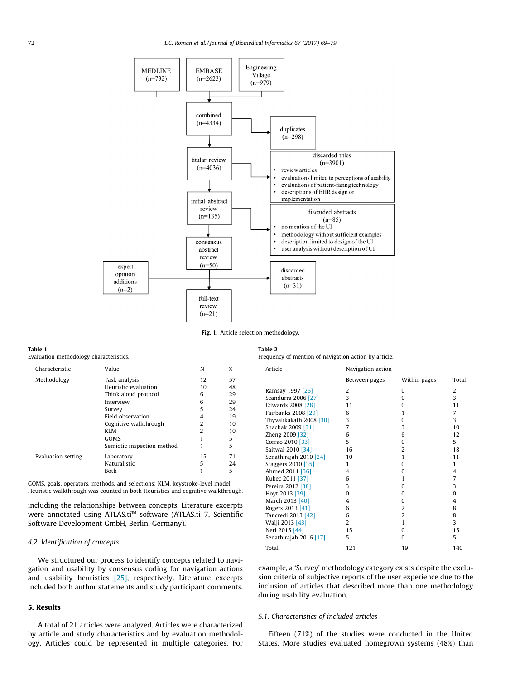<span id="page-3-0"></span>

Fig. 1. Article selection methodology.

#### Table 1

Evaluation methodology characteristics.

| Characteristic     | Value                      | N              | %  |
|--------------------|----------------------------|----------------|----|
| Methodology        | Task analysis              | 12             | 57 |
|                    | Heuristic evaluation       | 10             | 48 |
|                    | Think aloud protocol       | 6              | 29 |
|                    | Interview                  | 6              | 29 |
|                    | Survey                     | 5              | 24 |
|                    | Field observation          | 4              | 19 |
|                    | Cognitive walkthrough      | $\overline{2}$ | 10 |
|                    | KLM                        | $\overline{2}$ | 10 |
|                    | GOMS                       |                | 5  |
|                    | Semiotic inspection method |                | 5  |
| Evaluation setting | Laboratory                 | 15             | 71 |
|                    | Naturalistic               | 5              | 24 |
|                    | Both                       |                | 5  |

GOMS, goals, operators, methods, and selections; KLM, keystroke-level model. Heuristic walkthrough was counted in both Heuristics and cognitive walkthrough.

including the relationships between concepts. Literature excerpts were annotated using ATLAS.ti<sup>™</sup> software (ATLAS.ti 7, Scientific Software Development GmbH, Berlin, Germany).

### 4.2. Identification of concepts

We structured our process to identify concepts related to navigation and usability by consensus coding for navigation actions and usability heuristics [\[25\],](#page-10-0) respectively. Literature excerpts included both author statements and study participant comments.

# 5. Results

A total of 21 articles were analyzed. Articles were characterized by article and study characteristics and by evaluation methodology. Articles could be represented in multiple categories. For

| Table 2                                               |
|-------------------------------------------------------|
| Frequency of mention of navigation action by article. |

| Article                 | Navigation action |                |       |
|-------------------------|-------------------|----------------|-------|
|                         | Between pages     | Within pages   | Total |
| Ramsay 1997 [26]        | 2                 | $\Omega$       | 2     |
| Scandurra 2006 [27]     | 3                 | $\Omega$       | 3     |
| Edwards 2008 [28]       | 11                | $\Omega$       | 11    |
| Fairbanks 2008 [29]     | 6                 | 1              | 7     |
| Thyvalikakath 2008 [30] | 3                 | o              | 3     |
| Shachak 2009 [31]       | 7                 | 3              | 10    |
| Zheng 2009 [32]         | 6                 | 6              | 12    |
| Corrao 2010 [33]        | 5                 | $\Omega$       | 5     |
| Saitwal 2010 [34]       | 16                | $\overline{2}$ | 18    |
| Senathirajah 2010 [24]  | 10                | 1              | 11    |
| Staggers 2010 [35]      | 1                 | $\Omega$       | 1     |
| Ahmed 2011 [36]         | 4                 | 0              | 4     |
| Kukec 2011 [37]         | 6                 | 1              | 7     |
| Pereira 2012 [38]       | 3                 | $\Omega$       | 3     |
| Hoyt 2013 [39]          | $\Omega$          | $\Omega$       | 0     |
| March 2013 [40]         | $\overline{4}$    | 0              | 4     |
| Rogers 2013 [41]        | 6                 | $\overline{2}$ | 8     |
| Tancredi 2013 [42]      | 6                 | $\overline{2}$ | 8     |
| Walji 2013 [43]         | 2                 | 1              | 3     |
| Neri 2015 [44]          | 15                | $\Omega$       | 15    |
| Senathirajah 2016 [17]  | 5                 | $\Omega$       | 5     |
| Total                   | 121               | 19             | 140   |

example, a 'Survey' methodology category exists despite the exclusion criteria of subjective reports of the user experience due to the inclusion of articles that described more than one methodology during usability evaluation.

#### 5.1. Characteristics of included articles

Fifteen (71%) of the studies were conducted in the United States. More studies evaluated homegrown systems (48%) than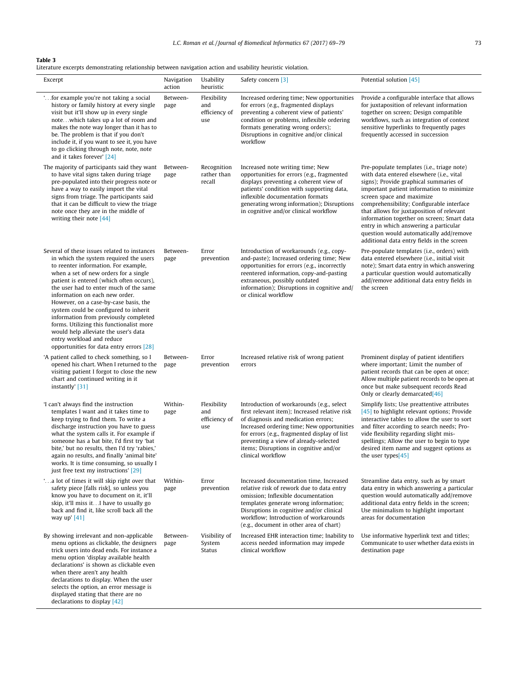# <span id="page-4-0"></span>Table 3

Literature excerpts demonstrating relationship between navigation action and usability heuristic violation.

| Excerpt                                                                                                                                                                                                                                                                                                                                                                                                                                                                                                                                                                                 | Navigation<br>action | Usability<br>heuristic                     | Safety concern [3]                                                                                                                                                                                                                                                                                                                      | Potential solution [45]                                                                                                                                                                                                                                                                                                                                                                                                                                                              |
|-----------------------------------------------------------------------------------------------------------------------------------------------------------------------------------------------------------------------------------------------------------------------------------------------------------------------------------------------------------------------------------------------------------------------------------------------------------------------------------------------------------------------------------------------------------------------------------------|----------------------|--------------------------------------------|-----------------------------------------------------------------------------------------------------------------------------------------------------------------------------------------------------------------------------------------------------------------------------------------------------------------------------------------|--------------------------------------------------------------------------------------------------------------------------------------------------------------------------------------------------------------------------------------------------------------------------------------------------------------------------------------------------------------------------------------------------------------------------------------------------------------------------------------|
| " for example you're not taking a social<br>history or family history at every single<br>visit but it'll show up in every single<br>notewhich takes up a lot of room and<br>makes the note way longer than it has to<br>be. The problem is that if you don't<br>include it, if you want to see it, you have<br>to go clicking through note, note, note<br>and it takes forever' [24]                                                                                                                                                                                                    | Between-<br>page     | Flexibility<br>and<br>efficiency of<br>use | Increased ordering time; New opportunities<br>for errors (e.g., fragmented displays<br>preventing a coherent view of patients'<br>condition or problems, inflexible ordering<br>formats generating wrong orders);<br>Disruptions in cognitive and/or clinical<br>workflow                                                               | Provide a configurable interface that allows<br>for juxtaposition of relevant information<br>together on screen; Design compatible<br>workflows, such as integration of context<br>sensitive hyperlinks to frequently pages<br>frequently accessed in succession                                                                                                                                                                                                                     |
| The majority of participants said they want<br>to have vital signs taken during triage<br>pre-populated into their progress note or<br>have a way to easily import the vital<br>signs from triage. The participants said<br>that it can be difficult to view the triage<br>note once they are in the middle of<br>writing their note $[44]$                                                                                                                                                                                                                                             | Between-<br>page     | Recognition<br>rather than<br>recall       | Increased note writing time; New<br>opportunities for errors (e.g., fragmented<br>displays preventing a coherent view of<br>patients' condition with supporting data,<br>inflexible documentation formats<br>generating wrong information); Disruptions<br>in cognitive and/or clinical workflow                                        | Pre-populate templates (i.e., triage note)<br>with data entered elsewhere (i.e., vital<br>signs); Provide graphical summaries of<br>important patient information to minimize<br>screen space and maximize<br>comprehensibility; Configurable interface<br>that allows for juxtaposition of relevant<br>information together on screen; Smart data<br>entry in which answering a particular<br>question would automatically add/remove<br>additional data entry fields in the screen |
| Several of these issues related to instances<br>in which the system required the users<br>to reenter information. For example,<br>when a set of new orders for a single<br>patient is entered (which often occurs),<br>the user had to enter much of the same<br>information on each new order.<br>However, on a case-by-case basis, the<br>system could be configured to inherit<br>information from previously completed<br>forms. Utilizing this functionalist more<br>would help alleviate the user's data<br>entry workload and reduce<br>opportunities for data entry errors [28] | Between-<br>page     | Error<br>prevention                        | Introduction of workarounds (e.g., copy-<br>and-paste); Increased ordering time; New<br>opportunities for errors (e.g., incorrectly<br>reentered information, copy-and-pasting<br>extraneous, possibly outdated<br>information); Disruptions in cognitive and/<br>or clinical workflow                                                  | Pre-populate templates (i.e., orders) with<br>data entered elsewhere (i.e., initial visit<br>note); Smart data entry in which answering<br>a particular question would automatically<br>add/remove additional data entry fields in<br>the screen                                                                                                                                                                                                                                     |
| 'A patient called to check something, so I<br>opened his chart. When I returned to the<br>visiting patient I forgot to close the new<br>chart and continued writing in it<br>instantly' [31]                                                                                                                                                                                                                                                                                                                                                                                            | Between-<br>page     | Error<br>prevention                        | Increased relative risk of wrong patient<br>errors                                                                                                                                                                                                                                                                                      | Prominent display of patient identifiers<br>where important; Limit the number of<br>patient records that can be open at once;<br>Allow multiple patient records to be open at<br>once but make subsequent records Read<br>Only or clearly demarcated[46]                                                                                                                                                                                                                             |
| 'I can't always find the instruction<br>templates I want and it takes time to<br>keep trying to find them. To write a<br>discharge instruction you have to guess<br>what the system calls it. For example if<br>someone has a bat bite, I'd first try 'bat<br>bite,' but no results, then I'd try 'rabies,'<br>again no results, and finally 'animal bite'<br>works. It is time consuming, so usually I<br>just free text my instructions' [29]                                                                                                                                         | Within-<br>page      | Flexibility<br>and<br>efficiency of<br>use | Introduction of workarounds (e.g., select<br>first relevant item); Increased relative risk<br>of diagnosis and medication errors;<br>Increased ordering time; New opportunities<br>for errors (e.g., fragmented display of list<br>preventing a view of already-selected<br>items; Disruptions in cognitive and/or<br>clinical workflow | Simplify lists; Use preattentive attributes<br>[45] to highlight relevant options; Provide<br>interactive tables to allow the user to sort<br>and filter according to search needs; Pro-<br>vide flexibility regarding slight mis-<br>spellings; Allow the user to begin to type<br>desired item name and suggest options as<br>the user types[ $45$ ]                                                                                                                               |
| "a lot of times it will skip right over that<br>safety piece [falls risk], so unless you<br>know you have to document on it, it'll<br>skip, it'll miss itI have to usually go<br>back and find it, like scroll back all the<br>way up' $[41]$                                                                                                                                                                                                                                                                                                                                           | Within-<br>page      | Error<br>prevention                        | Increased documentation time, Increased<br>relative risk of rework due to data entry<br>omission; Inflexible documentation<br>templates generate wrong information;<br>Disruptions in cognitive and/or clinical<br>workflow; Introduction of workarounds<br>(e.g., document in other area of chart)                                     | Streamline data entry, such as by smart<br>data entry in which answering a particular<br>question would automatically add/remove<br>additional data entry fields in the screen;<br>Use minimalism to highlight important<br>areas for documentation                                                                                                                                                                                                                                  |
| By showing irrelevant and non-applicable<br>menu options as clickable, the designers<br>trick users into dead ends. For instance a<br>menu option 'display available health<br>declarations' is shown as clickable even<br>when there aren't any health<br>declarations to display. When the user<br>selects the option, an error message is<br>displayed stating that there are no<br>declarations to display $[42]$                                                                                                                                                                   | Between-<br>page     | Visibility of<br>System<br><b>Status</b>   | Increased EHR interaction time; Inability to<br>access needed information may impede<br>clinical workflow                                                                                                                                                                                                                               | Use informative hyperlink text and titles;<br>Communicate to user whether data exists in<br>destination page                                                                                                                                                                                                                                                                                                                                                                         |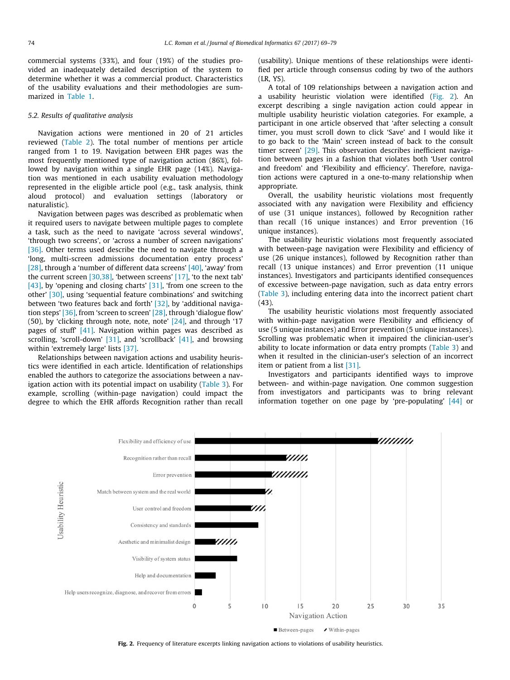commercial systems (33%), and four (19%) of the studies provided an inadequately detailed description of the system to determine whether it was a commercial product. Characteristics of the usability evaluations and their methodologies are summarized in [Table 1.](#page-3-0)

#### 5.2. Results of qualitative analysis

Navigation actions were mentioned in 20 of 21 articles reviewed [\(Table 2](#page-3-0)). The total number of mentions per article ranged from 1 to 19. Navigation between EHR pages was the most frequently mentioned type of navigation action (86%), followed by navigation within a single EHR page (14%). Navigation was mentioned in each usability evaluation methodology represented in the eligible article pool (e.g., task analysis, think aloud protocol) and evaluation settings (laboratory or naturalistic).

Navigation between pages was described as problematic when it required users to navigate between multiple pages to complete a task, such as the need to navigate 'across several windows', 'through two screens', or 'across a number of screen navigations' [\[36\]](#page-10-0). Other terms used describe the need to navigate through a 'long, multi-screen admissions documentation entry process' [\[28\]](#page-10-0), through a 'number of different data screens' [\[40\]](#page-10-0), 'away' from the current screen [\[30,38\],](#page-10-0) 'between screens' [\[17\],](#page-10-0) 'to the next tab' [\[43\]](#page-10-0), by 'opening and closing charts' [\[31\],](#page-10-0) 'from one screen to the other' [\[30\],](#page-10-0) using 'sequential feature combinations' and switching between 'two features back and forth' [\[32\]](#page-10-0), by 'additional navigation steps' [\[36\]](#page-10-0), from 'screen to screen' [\[28\]](#page-10-0), through 'dialogue flow' (50), by 'clicking through note, note, note' [\[24\],](#page-10-0) and through '17 pages of stuff' [\[41\]](#page-10-0). Navigation within pages was described as scrolling, 'scroll-down' [\[31\]](#page-10-0), and 'scrollback' [\[41\],](#page-10-0) and browsing within 'extremely large' lists [\[37\].](#page-10-0)

Relationships between navigation actions and usability heuristics were identified in each article. Identification of relationships enabled the authors to categorize the associations between a nav-igation action with its potential impact on usability [\(Table 3\)](#page-4-0). For example, scrolling (within-page navigation) could impact the degree to which the EHR affords Recognition rather than recall (usability). Unique mentions of these relationships were identified per article through consensus coding by two of the authors (LR, YS).

A total of 109 relationships between a navigation action and a usability heuristic violation were identified (Fig. 2). An excerpt describing a single navigation action could appear in multiple usability heuristic violation categories. For example, a participant in one article observed that 'after selecting a consult timer, you must scroll down to click 'Save' and I would like it to go back to the 'Main' screen instead of back to the consult timer screen' <a>[\[29\]](#page-10-0)</a>. This observation describes inefficient navigation between pages in a fashion that violates both 'User control and freedom' and 'Flexibility and efficiency'. Therefore, navigation actions were captured in a one-to-many relationship when appropriate.

Overall, the usability heuristic violations most frequently associated with any navigation were Flexibility and efficiency of use (31 unique instances), followed by Recognition rather than recall (16 unique instances) and Error prevention (16 unique instances).

The usability heuristic violations most frequently associated with between-page navigation were Flexibility and efficiency of use (26 unique instances), followed by Recognition rather than recall (13 unique instances) and Error prevention (11 unique instances). Investigators and participants identified consequences of excessive between-page navigation, such as data entry errors ([Table 3\)](#page-4-0), including entering data into the incorrect patient chart (43).

The usability heuristic violations most frequently associated with within-page navigation were Flexibility and efficiency of use (5 unique instances) and Error prevention (5 unique instances). Scrolling was problematic when it impaired the clinician-user's ability to locate information or data entry prompts ([Table 3\)](#page-4-0) and when it resulted in the clinician-user's selection of an incorrect item or patient from a list [\[31\]](#page-10-0).

Investigators and participants identified ways to improve between- and within-page navigation. One common suggestion from investigators and participants was to bring relevant information together on one page by 'pre-populating' [\[44\]](#page-10-0) or



Between-pages ✔ Within-pages

Fig. 2. Frequency of literature excerpts linking navigation actions to violations of usability heuristics.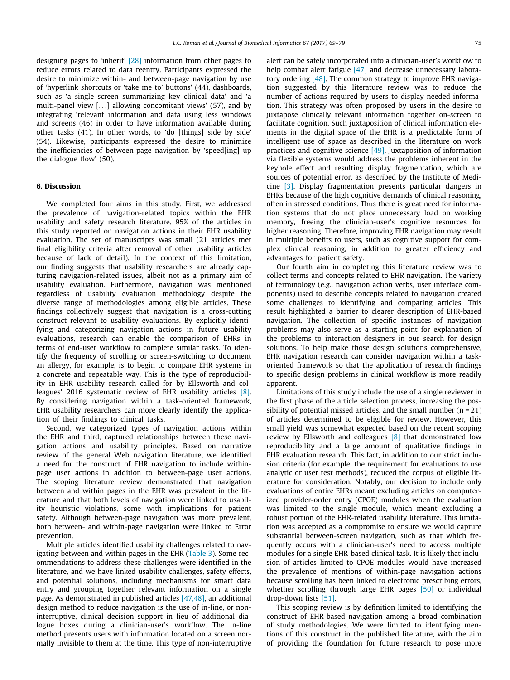designing pages to 'inherit' [\[28\]](#page-10-0) information from other pages to reduce errors related to data reentry. Participants expressed the desire to minimize within- and between-page navigation by use of 'hyperlink shortcuts or 'take me to' buttons' (44), dashboards, such as 'a single screen summarizing key clinical data' and 'a multi-panel view [...] allowing concomitant views' (57), and by integrating 'relevant information and data using less windows and screens (46) in order to have information available during other tasks (41). In other words, to 'do [things] side by side' (54). Likewise, participants expressed the desire to minimize the inefficiencies of between-page navigation by 'speed[ing] up the dialogue flow' (50).

#### 6. Discussion

We completed four aims in this study. First, we addressed the prevalence of navigation-related topics within the EHR usability and safety research literature. 95% of the articles in this study reported on navigation actions in their EHR usability evaluation. The set of manuscripts was small (21 articles met final eligibility criteria after removal of other usability articles because of lack of detail). In the context of this limitation, our finding suggests that usability researchers are already capturing navigation-related issues, albeit not as a primary aim of usability evaluation. Furthermore, navigation was mentioned regardless of usability evaluation methodology despite the diverse range of methodologies among eligible articles. These findings collectively suggest that navigation is a cross-cutting construct relevant to usability evaluations. By explicitly identifying and categorizing navigation actions in future usability evaluations, research can enable the comparison of EHRs in terms of end-user workflow to complete similar tasks. To identify the frequency of scrolling or screen-switching to document an allergy, for example, is to begin to compare EHR systems in a concrete and repeatable way. This is the type of reproducibility in EHR usability research called for by Ellsworth and colleagues' 2016 systematic review of EHR usability articles [\[8\].](#page-10-0) By considering navigation within a task-oriented framework, EHR usability researchers can more clearly identify the application of their findings to clinical tasks.

Second, we categorized types of navigation actions within the EHR and third, captured relationships between these navigation actions and usability principles. Based on narrative review of the general Web navigation literature, we identified a need for the construct of EHR navigation to include withinpage user actions in addition to between-page user actions. The scoping literature review demonstrated that navigation between and within pages in the EHR was prevalent in the literature and that both levels of navigation were linked to usability heuristic violations, some with implications for patient safety. Although between-page navigation was more prevalent, both between- and within-page navigation were linked to Error prevention.

Multiple articles identified usability challenges related to navigating between and within pages in the EHR [\(Table 3](#page-4-0)). Some recommendations to address these challenges were identified in the literature, and we have linked usability challenges, safety effects, and potential solutions, including mechanisms for smart data entry and grouping together relevant information on a single page. As demonstrated in published articles [\[47,48\],](#page-10-0) an additional design method to reduce navigation is the use of in-line, or noninterruptive, clinical decision support in lieu of additional dialogue boxes during a clinician-user's workflow. The in-line method presents users with information located on a screen normally invisible to them at the time. This type of non-interruptive alert can be safely incorporated into a clinician-user's workflow to help combat alert fatigue [\[47\]](#page-10-0) and decrease unnecessary laboratory ordering [\[48\]](#page-10-0). The common strategy to improve EHR navigation suggested by this literature review was to reduce the number of actions required by users to display needed information. This strategy was often proposed by users in the desire to juxtapose clinically relevant information together on-screen to facilitate cognition. Such juxtaposition of clinical information elements in the digital space of the EHR is a predictable form of intelligent use of space as described in the literature on work practices and cognitive science [\[49\]](#page-10-0). Juxtaposition of information via flexible systems would address the problems inherent in the keyhole effect and resulting display fragmentation, which are sources of potential error, as described by the Institute of Medicine [\[3\].](#page-10-0) Display fragmentation presents particular dangers in EHRs because of the high cognitive demands of clinical reasoning, often in stressed conditions. Thus there is great need for information systems that do not place unnecessary load on working memory, freeing the clinician-user's cognitive resources for higher reasoning. Therefore, improving EHR navigation may result in multiple benefits to users, such as cognitive support for complex clinical reasoning, in addition to greater efficiency and advantages for patient safety.

Our fourth aim in completing this literature review was to collect terms and concepts related to EHR navigation. The variety of terminology (e.g., navigation action verbs, user interface components) used to describe concepts related to navigation created some challenges to identifying and comparing articles. This result highlighted a barrier to clearer description of EHR-based navigation. The collection of specific instances of navigation problems may also serve as a starting point for explanation of the problems to interaction designers in our search for design solutions. To help make those design solutions comprehensive, EHR navigation research can consider navigation within a taskoriented framework so that the application of research findings to specific design problems in clinical workflow is more readily apparent.

Limitations of this study include the use of a single reviewer in the first phase of the article selection process, increasing the possibility of potential missed articles, and the small number  $(n = 21)$ of articles determined to be eligible for review. However, this small yield was somewhat expected based on the recent scoping review by Ellsworth and colleagues [\[8\]](#page-10-0) that demonstrated low reproducibility and a large amount of qualitative findings in EHR evaluation research. This fact, in addition to our strict inclusion criteria (for example, the requirement for evaluations to use analytic or user test methods), reduced the corpus of eligible literature for consideration. Notably, our decision to include only evaluations of entire EHRs meant excluding articles on computerized provider-order entry (CPOE) modules when the evaluation was limited to the single module, which meant excluding a robust portion of the EHR-related usability literature. This limitation was accepted as a compromise to ensure we would capture substantial between-screen navigation, such as that which frequently occurs with a clinician-user's need to access multiple modules for a single EHR-based clinical task. It is likely that inclusion of articles limited to CPOE modules would have increased the prevalence of mentions of within-page navigation actions because scrolling has been linked to electronic prescribing errors, whether scrolling through large EHR pages [\[50\]](#page-10-0) or individual drop-down lists [\[51\].](#page-10-0)

This scoping review is by definition limited to identifying the construct of EHR-based navigation among a broad combination of study methodologies. We were limited to identifying mentions of this construct in the published literature, with the aim of providing the foundation for future research to pose more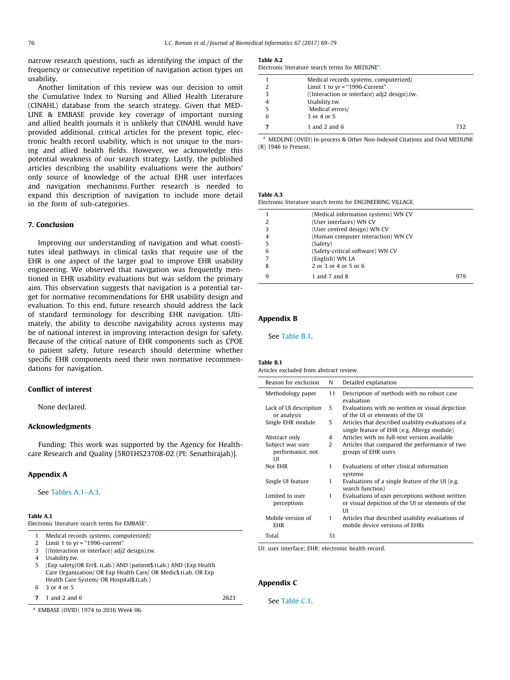<span id="page-7-0"></span>narrow research questions, such as identifying the impact of the frequency or consecutive repetition of navigation action types on usability.

Another limitation of this review was our decision to omit the Cumulative Index to Nursing and Allied Health Literature (CINAHL) database from the search strategy. Given that MED-LINE & EMBASE provide key coverage of important nursing and allied health journals it is unlikely that CINAHL would have provided additional, critical articles for the present topic, electronic health record usability, which is not unique to the nursing and allied health fields. However, we acknowledge this potential weakness of our search strategy. Lastly, the published articles describing the usability evaluations were the authors' only source of knowledge of the actual EHR user interfaces and navigation mechanisms. Further research is needed to expand this description of navigation to include more detail in the form of sub-categories.

#### 7. Conclusion

Improving our understanding of navigation and what constitutes ideal pathways in clinical tasks that require use of the EHR is one aspect of the larger goal to improve EHR usability engineering. We observed that navigation was frequently mentioned in EHR usability evaluations but was seldom the primary aim. This observation suggests that navigation is a potential target for normative recommendations for EHR usability design and evaluation. To this end, future research should address the lack of standard terminology for describing EHR navigation. Ultimately, the ability to describe navigability across systems may be of national interest in improving interaction design for safety. Because of the critical nature of EHR components such as CPOE to patient safety, future research should determine whether specific EHR components need their own normative recommendations for navigation.

## Conflict of interest

None declared.

#### Acknowledgments

Funding: This work was supported by the Agency for Healthcare Research and Quality [5R01HS23708-02 (PI: Senathirajah)].

#### Appendix A

See Tables A.1–A.3.

#### Table A.1

Electronic literature search terms for EMBASE<sup>a</sup>.

- 1 Medical records systems, computerized/
- 2 Limit 1 to yr = ''1996-current"
- 3 ((Interaction or interface) adj2 design).tw.
- 4 Usability.tw.
- 5 (Exp safety/OR Err\$. ti,ab.) AND (patient\$.ti,ab.) AND (Exp Health Care Organization/ OR Exp Health Care/ OR Medic\$.ti,ab. OR Exp Health Care System/ OR Hospital\$.ti,ab.)
- 6 3 or 4 or 5
- **7** 1 and 2 and 6 2623

<sup>a</sup> EMBASE (OVID) 1974 to 2016 Week 06.

#### Table A.2

| Electronic literature search terms for MEDLINE <sup>a</sup> . |  |
|---------------------------------------------------------------|--|
|---------------------------------------------------------------|--|

|   | Medical records systems, computerized/       |
|---|----------------------------------------------|
|   | Limit 1 to $yr = "1996-Current"$             |
| 3 | ((Interaction or interface) adj2 design).tw. |
|   | Usability.tw.                                |
|   | Medical errors/                              |
|   | 3 or 4 or 5                                  |
|   | 1 and 2 and $6$<br>732                       |

<sup>a</sup> MEDLINE (OVID) In-process & Other Non-Indexed Citations and Ovid MEDLINE (R) 1946 to Present.

### Table A.3

Electronic literature search terms for ENGINEERING VILLAGE.

|   | (Medical information systems) WN CV |     |
|---|-------------------------------------|-----|
| 2 | (User interfaces) WN CV             |     |
| 3 | (User centred design) WN CV         |     |
| 4 | (Human computer interaction) WN CV  |     |
| 5 | (Safety)                            |     |
| 6 | (Safety-critical software) WN CV    |     |
| 7 | (English) WN LA                     |     |
| 8 | 2 or 3 or 4 or 5 or 6               |     |
| q | 1 and 7 and 8                       | 979 |

# Appendix B

See Table B.1.

#### Table B.1

Articles excluded from abstract review.

| Reason for exclusion                       | N  | Detailed explanation                                                                                      |
|--------------------------------------------|----|-----------------------------------------------------------------------------------------------------------|
| Methodology paper                          | 11 | Description of methods with no robust case<br>evaluation                                                  |
| Lack of UI description<br>or analysis      | 5  | Evaluations with no written or visual depiction<br>of the UI or elements of the UI                        |
| Single EHR module                          | 5  | Articles that described usability evaluations of a<br>single feature of EHR (e.g. Allergy module)         |
| Abstract only                              | 4  | Articles with no full-text version available                                                              |
| Subject was user<br>performance, not<br>UІ | 2  | Articles that compared the performance of two<br>groups of EHR users                                      |
| Not EHR                                    | 1  | Evaluations of other clinical information<br>systems                                                      |
| Single UI feature                          | 1  | Evaluations of a single feature of the UI (e.g.<br>search function)                                       |
| Limited to user<br>perceptions             | 1  | Evaluations of user perceptions without written<br>or visual depiction of the UI or elements of the<br>UI |
| Mobile version of<br><b>EHR</b>            | 1  | Articles that described usability evaluations of<br>mobile device versions of EHRs                        |
| Total                                      | 31 |                                                                                                           |

UI: user interface; EHR: electronic health record.

#### Appendix C

#### See [Table C.1](#page-8-0).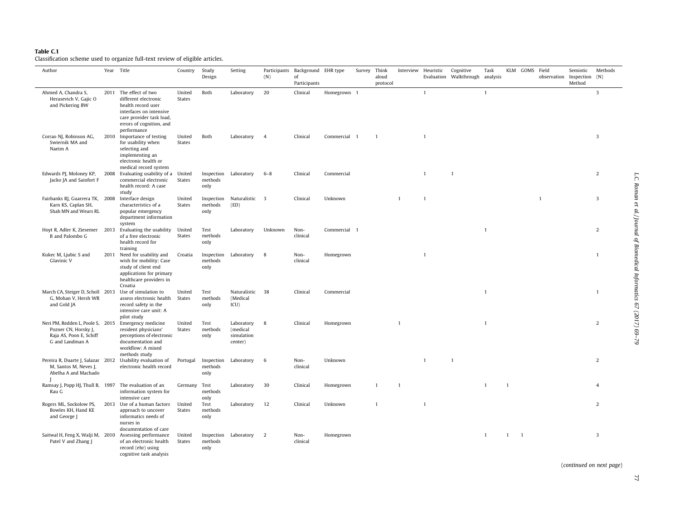#### <span id="page-8-0"></span>Table C.1

Classification scheme used to organize full-text review of eligible articles.

| Author                                                                                                 |      | Year Title                                                                                                                                                             | Country                 | Study<br>Design               | Setting                                         | (N)            | Participants Background EHR type<br>of<br>Participants |              | Survey Think | aloud<br>protocol | Interview Heuristic |              | Cognitive<br>Evaluation Walkthrough analysis | Task         |              | KLM GOMS Field           | observation Inspection (N) | Semiotic<br>Method | Methods        |
|--------------------------------------------------------------------------------------------------------|------|------------------------------------------------------------------------------------------------------------------------------------------------------------------------|-------------------------|-------------------------------|-------------------------------------------------|----------------|--------------------------------------------------------|--------------|--------------|-------------------|---------------------|--------------|----------------------------------------------|--------------|--------------|--------------------------|----------------------------|--------------------|----------------|
| Ahmed A, Chandra S,<br>Herasevich V, Gajic O<br>and Pickering BW                                       |      | 2011 The effect of two<br>different electronic<br>health record user<br>interfaces on intensive<br>care provider task load,<br>errors of cognition, and<br>performance | United<br><b>States</b> | Both                          | Laboratory                                      | 20             | Clinical                                               | Homegrown 1  |              |                   |                     | $\mathbf{1}$ |                                              | $\mathbf{1}$ |              |                          |                            |                    | 3              |
| Corrao NJ, Robinson AG,<br>Swiernik MA and<br>Naeim A                                                  |      | 2010 Importance of testing<br>for usability when<br>selecting and<br>implementing an<br>electronic health or<br>medical record system                                  | United<br>States        | Both                          | Laboratory                                      | $\overline{4}$ | Clinical                                               | Commercial 1 |              | $\overline{1}$    |                     | $\mathbf{1}$ |                                              |              |              |                          |                            |                    | $\overline{3}$ |
| Edwards PJ, Moloney KP,<br>Jacko JA and Sainfort F                                                     | 2008 | Evaluating usability of a United<br>commercial electronic<br>health record: A case<br>study                                                                            | <b>States</b>           | Inspection<br>methods<br>only | Laboratory                                      | $6 - 8$        | Clinical                                               | Commercial   |              |                   |                     | $\mathbf{1}$ | $\mathbf{1}$                                 |              |              |                          |                            |                    | $\overline{2}$ |
| Fairbanks RJ, Guarrera TK, 2008<br>Karn KS, Caplan SH,<br>Shah MN and Wears RL                         |      | Interface design<br>characteristics of a<br>popular emergency<br>department information<br>system                                                                      | United<br><b>States</b> | Inspection<br>methods<br>only | Naturalistic 3<br>(ED)                          |                | Clinical                                               | Unknown      |              |                   | $\overline{1}$      | $\mathbf{1}$ |                                              |              |              |                          | $\overline{1}$             |                    | 3              |
| Hoyt R, Adler K, Ziesemer 2013<br>B and Palombo G                                                      |      | Evaluating the usability United<br>of a free electronic<br>health record for<br>training                                                                               | States                  | Test<br>methods<br>only       | Laboratory                                      | Unknown        | Non-<br>clinical                                       | Commercial 1 |              |                   |                     |              |                                              | $\mathbf{1}$ |              |                          |                            |                    | $\overline{2}$ |
| Kukec M, Ljubic S and<br>Glavinic V                                                                    | 2011 | Need for usability and<br>wish for mobility: Case<br>study of client end<br>applications for primary<br>healthcare providers in<br>Croatia                             | Croatia                 | Inspection<br>methods<br>only | Laboratory                                      | 8              | Non-<br>clinical                                       | Homegrown    |              |                   |                     | $\mathbf{1}$ |                                              |              |              |                          |                            |                    | $\mathbf{1}$   |
| March CA, Steiger D, Scholl 2013<br>G, Mohan V, Hersh WR<br>and Gold JA                                |      | Use of simulation to<br>assess electronic health<br>record safety in the<br>intensive care unit: A<br>pilot study                                                      | United<br>States        | Test<br>methods<br>only       | Naturalistic 38<br>(Medical<br>ICU)             |                | Clinical                                               | Commercial   |              |                   |                     |              |                                              | $\mathbf{1}$ |              |                          |                            |                    | $\mathbf{1}$   |
| Neri PM, Redden L, Poole S, 2015<br>Pozner CN, Horsky J,<br>Raja AS, Poon E, Schiff<br>G and Landman A |      | Emergency medicine<br>resident physicians'<br>perceptions of electronic<br>documentation and<br>workflow: A mixed<br>methods study                                     | United<br><b>States</b> | Test<br>methods<br>only       | Laboratory<br>(medical<br>simulation<br>center) | 8              | Clinical                                               | Homegrown    |              |                   | $\mathbf{1}$        |              |                                              | $\mathbf{1}$ |              |                          |                            |                    | $\overline{2}$ |
| Pereira R, Duarte J, Salazar 2012<br>M, Santos M, Neves J,<br>Abelha A and Machado                     |      | Usability evaluation of<br>electronic health record                                                                                                                    | Portugal                | Inspection<br>methods<br>only | Laboratory                                      | 6              | Non-<br>clinical                                       | Unknown      |              |                   |                     | $\mathbf{1}$ | $\mathbf{1}$                                 |              |              |                          |                            |                    | $\overline{2}$ |
| Ramsay J, Popp HJ, Thull B, 1997<br>Rau G                                                              |      | The evaluation of an<br>information system for<br>intensive care                                                                                                       | Germany Test            | methods<br>only               | Laboratory                                      | 30             | Clinical                                               | Homegrown    |              | -1                | $\overline{1}$      |              |                                              | 1            | 1            |                          |                            |                    | 4              |
| Rogers ML, Sockolow PS,<br>Bowles KH, Hand KE<br>and George J                                          | 2013 | Use of a human factors<br>approach to uncover<br>informatics needs of<br>nurses in<br>documentation of care                                                            | United<br><b>States</b> | Test<br>methods<br>only       | Laboratory                                      | 12             | Clinical                                               | Unknown      |              | $\mathbf{1}$      |                     | $\mathbf{1}$ |                                              |              |              |                          |                            |                    | $\overline{2}$ |
| Saitwal H, Feng X, Walji M, 2010<br>Patel V and Zhang J                                                |      | Assessing performance<br>of an electronic health<br>record (ehr) using<br>cognitive task analysis                                                                      | United<br><b>States</b> | Inspection<br>methods<br>only | Laboratory                                      | $\overline{2}$ | Non-<br>clinical                                       | Homegrown    |              |                   |                     |              |                                              | $\mathbf{1}$ | $\mathbf{1}$ | $\overline{\phantom{a}}$ |                            |                    | 3              |

(continued on next page)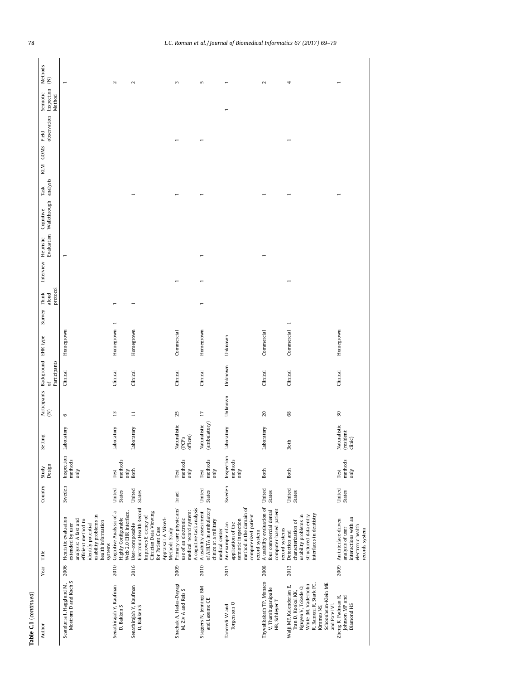| Table C.1 (continued)                                                                                                                                                        |      |                                                                                                                                                                         |                         |                               |                                      |                 |                                                            |            |                                      |           |                |                                              |                |                    |                                                          |                                              |
|------------------------------------------------------------------------------------------------------------------------------------------------------------------------------|------|-------------------------------------------------------------------------------------------------------------------------------------------------------------------------|-------------------------|-------------------------------|--------------------------------------|-----------------|------------------------------------------------------------|------------|--------------------------------------|-----------|----------------|----------------------------------------------|----------------|--------------------|----------------------------------------------------------|----------------------------------------------|
| Author                                                                                                                                                                       | Year | Title                                                                                                                                                                   | Country                 | Study<br>Design               | Setting                              |                 | Participants Background EHR type<br>(N) of<br>Participants |            | protocol<br>Think<br>aloud<br>Survey | Interview | Heuristic      | Evaluation Walkthrough analysis<br>Cognitive | Task           | <b>GOMS</b><br>KLM | Inspection<br>Semiotic<br>Method<br>observation<br>Field | Methods<br>$\widehat{\boldsymbol{\epsilon}}$ |
| Mostrom D and Koch S<br>Scandurra I, Hagglund M,                                                                                                                             | 2006 | usability problems in<br>Heuristic evaluation<br>analysis: A fast and<br>efficient method to<br>health information<br>identify potential<br>extended by user<br>systems | Sweden                  | Inspection<br>methods<br>only | tory<br>Labora                       | $\circ$         | Clinical                                                   | Homegrown  |                                      |           | $\blacksquare$ |                                              |                |                    |                                                          |                                              |
| Senathirajah Y, Kaufman<br>D, Bakken S                                                                                                                                       | 2010 | Cognitive Analysis of a<br>Web 2.0 EHR Interface.<br>Highly Configurable                                                                                                | United<br>States        | methods<br>Test               | tory<br>Labora                       | $\frac{1}{2}$   | Clinical                                                   | Homegrown  |                                      |           |                |                                              |                |                    |                                                          | $\sim$                                       |
| Senathirajah Y, Kaufman<br>D, Bakken S                                                                                                                                       | 2016 | Electronic Health Record<br>Clinician Data Viewing<br>Improves E ciency of<br>Appraisal: A Mixed-<br>User-composable<br>for Patient Case<br>Methods Study               | United<br>States        | only<br>Both                  | tory<br>Labora                       | $\Xi$           | Clinical                                                   | Homegrown  |                                      |           |                |                                              | $\overline{ }$ |                    |                                                          | $\sim$                                       |
| Shachak A, Hadas-Dayagi<br>M, Ziv A and Reis S                                                                                                                               | 2009 | Primary care physicians'<br>A cognitive task analysis<br>medical record system:<br>use of an electronic                                                                 | Israel                  | methods<br>only<br>Test       | Naturalistic<br>(PCP's<br>offices)   | 25              | Clinical                                                   | Commercial |                                      |           |                |                                              |                |                    |                                                          | $\sim$                                       |
| Staggers N, Jennings BM<br>and Lasome CE                                                                                                                                     | 2010 | of AHLTA in ambulatory<br>A usability assessment<br>clinics at a military<br>medical center                                                                             | United<br><b>States</b> | methods<br>$\sin y$<br>Test   | (ambulatory)<br>Naturalistic         | $\overline{17}$ | Clinical                                                   | Homegrown  |                                      |           |                |                                              |                |                    |                                                          | 5                                            |
| Torgersson O<br>Tancredi W and                                                                                                                                               | 2013 | method in the domain of<br>computerized patient<br>semiotic inspection<br>An example of an<br>application of the<br>record system                                       | Sweden                  | Inspection<br>methods<br>only | tory<br>Labora                       | Unknown         | Unknown                                                    | Unknown    |                                      |           |                |                                              |                |                    |                                                          |                                              |
| Thyvalikakath TP, Monaco<br>V, Thambuganipalle<br>HB, Schleyer T                                                                                                             | 2008 | A usability evaluation of<br>computer-based patient<br>four commercial dental<br>record systems                                                                         | United<br>States        | Both                          | tory<br>Labora                       | 20              | Clinical                                                   | Commercial |                                      |           |                |                                              |                |                    |                                                          | 2                                            |
| Schoonheim-Klein ME<br>White JM, Vaderhobli<br>R, Ramoni R, Stark PC,<br>Walji MF, Kalenderian E,<br>Nguyen V, Tokede O,<br>Tran D, Kookal KK,<br>and Patel VL<br>Kimmes NS, | 2013 | interfaces in dentistry<br>usability problems in<br>structured data entry<br>characterization of<br>Detection and                                                       | United<br>States        | Both                          | Both                                 | $68\,$          | Clinical                                                   | Commercial |                                      |           |                |                                              |                |                    |                                                          | 4                                            |
| Zheng K, Padman R,<br>Johnson MP and<br>Diamond HS                                                                                                                           | 2009 | interactions with an<br>An interface-driven<br>electronic health<br>analysis of user<br>records system                                                                  | United<br>States        | methods<br>only<br>Test       | Naturalistic<br>(resident<br>clinic) | 30              | Clinical                                                   | Homegrown  |                                      |           |                |                                              |                |                    |                                                          |                                              |
|                                                                                                                                                                              |      |                                                                                                                                                                         |                         |                               |                                      |                 |                                                            |            |                                      |           |                |                                              |                |                    |                                                          |                                              |

# 78 L.C. Roman et al. / Journal of Biomedical Informatics 67 (2017) 69–79